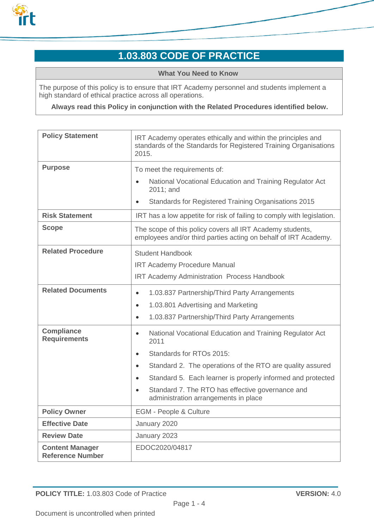

# **1.03.803 CODE OF PRACTICE**

**What You Need to Know**

The purpose of this policy is to ensure that IRT Academy personnel and students implement a high standard of ethical practice across all operations.

**Always read this Policy in conjunction with the Related Procedures identified below.**

| <b>Policy Statement</b>                           | IRT Academy operates ethically and within the principles and<br>standards of the Standards for Registered Training Organisations<br>2015. |
|---------------------------------------------------|-------------------------------------------------------------------------------------------------------------------------------------------|
| <b>Purpose</b>                                    | To meet the requirements of:                                                                                                              |
|                                                   | National Vocational Education and Training Regulator Act<br>$\bullet$<br>2011; and                                                        |
|                                                   | Standards for Registered Training Organisations 2015<br>$\bullet$                                                                         |
| <b>Risk Statement</b>                             | IRT has a low appetite for risk of failing to comply with legislation.                                                                    |
| <b>Scope</b>                                      | The scope of this policy covers all IRT Academy students,<br>employees and/or third parties acting on behalf of IRT Academy.              |
| <b>Related Procedure</b>                          | <b>Student Handbook</b>                                                                                                                   |
|                                                   | <b>IRT Academy Procedure Manual</b>                                                                                                       |
|                                                   | <b>IRT Academy Administration Process Handbook</b>                                                                                        |
| <b>Related Documents</b>                          | 1.03.837 Partnership/Third Party Arrangements<br>$\bullet$                                                                                |
|                                                   | 1.03.801 Advertising and Marketing<br>$\bullet$                                                                                           |
|                                                   | 1.03.837 Partnership/Third Party Arrangements<br>$\bullet$                                                                                |
| <b>Compliance</b><br><b>Requirements</b>          | National Vocational Education and Training Regulator Act<br>$\bullet$<br>2011                                                             |
|                                                   | Standards for RTOs 2015:<br>$\bullet$                                                                                                     |
|                                                   | Standard 2. The operations of the RTO are quality assured<br>$\bullet$                                                                    |
|                                                   | Standard 5. Each learner is properly informed and protected<br>$\bullet$                                                                  |
|                                                   | Standard 7. The RTO has effective governance and<br>$\bullet$<br>administration arrangements in place                                     |
| <b>Policy Owner</b>                               | <b>EGM - People &amp; Culture</b>                                                                                                         |
| <b>Effective Date</b>                             | January 2020                                                                                                                              |
| <b>Review Date</b>                                | January 2023                                                                                                                              |
| <b>Content Manager</b><br><b>Reference Number</b> | EDOC2020/04817                                                                                                                            |

**POLICY TITLE:** 1.03.803 Code of Practice **VERSION:** 4.0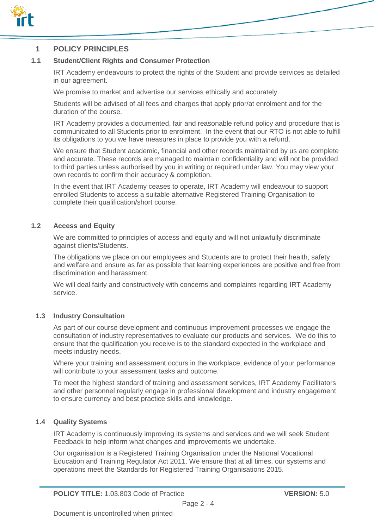

### **1 POLICY PRINCIPLES**

#### **1.1 Student/Client Rights and Consumer Protection**

IRT Academy endeavours to protect the rights of the Student and provide services as detailed in our agreement.

We promise to market and advertise our services ethically and accurately.

Students will be advised of all fees and charges that apply prior/at enrolment and for the duration of the course.

IRT Academy provides a documented, fair and reasonable refund policy and procedure that is communicated to all Students prior to enrolment. In the event that our RTO is not able to fulfill its obligations to you we have measures in place to provide you with a refund.

We ensure that Student academic, financial and other records maintained by us are complete and accurate. These records are managed to maintain confidentiality and will not be provided to third parties unless authorised by you in writing or required under law. You may view your own records to confirm their accuracy & completion.

In the event that IRT Academy ceases to operate, IRT Academy will endeavour to support enrolled Students to access a suitable alternative Registered Training Organisation to complete their qualification/short course.

#### **1.2 Access and Equity**

We are committed to principles of access and equity and will not unlawfully discriminate against clients/Students.

The obligations we place on our employees and Students are to protect their health, safety and welfare and ensure as far as possible that learning experiences are positive and free from discrimination and harassment.

We will deal fairly and constructively with concerns and complaints regarding IRT Academy service.

#### **1.3 Industry Consultation**

As part of our course development and continuous improvement processes we engage the consultation of industry representatives to evaluate our products and services. We do this to ensure that the qualification you receive is to the standard expected in the workplace and meets industry needs.

Where your training and assessment occurs in the workplace, evidence of your performance will contribute to your assessment tasks and outcome.

To meet the highest standard of training and assessment services, IRT Academy Facilitators and other personnel regularly engage in professional development and industry engagement to ensure currency and best practice skills and knowledge.

#### **1.4 Quality Systems**

IRT Academy is continuously improving its systems and services and we will seek Student Feedback to help inform what changes and improvements we undertake.

Our organisation is a Registered Training Organisation under the National Vocational Education and Training Regulator Act 2011. We ensure that at all times, our systems and operations meet the Standards for Registered Training Organisations 2015.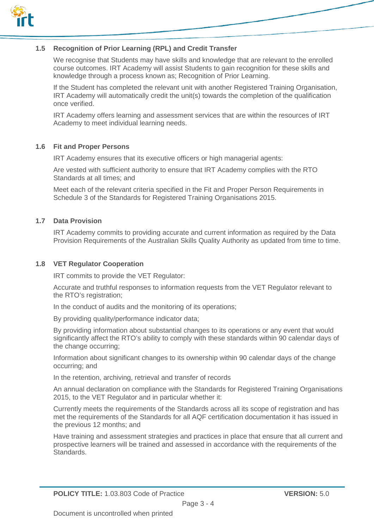

#### **1.5 Recognition of Prior Learning (RPL) and Credit Transfer**

We recognise that Students may have skills and knowledge that are relevant to the enrolled course outcomes. IRT Academy will assist Students to gain recognition for these skills and knowledge through a process known as; Recognition of Prior Learning.

If the Student has completed the relevant unit with another Registered Training Organisation, IRT Academy will automatically credit the unit(s) towards the completion of the qualification once verified.

IRT Academy offers learning and assessment services that are within the resources of IRT Academy to meet individual learning needs.

#### **1.6 Fit and Proper Persons**

IRT Academy ensures that its executive officers or high managerial agents:

Are vested with sufficient authority to ensure that IRT Academy complies with the RTO Standards at all times; and

Meet each of the relevant criteria specified in the Fit and Proper Person Requirements in Schedule 3 of the Standards for Registered Training Organisations 2015.

#### **1.7 Data Provision**

IRT Academy commits to providing accurate and current information as required by the Data Provision Requirements of the Australian Skills Quality Authority as updated from time to time.

#### **1.8 VET Regulator Cooperation**

IRT commits to provide the VET Regulator:

Accurate and truthful responses to information requests from the VET Regulator relevant to the RTO's registration;

In the conduct of audits and the monitoring of its operations;

By providing quality/performance indicator data;

By providing information about substantial changes to its operations or any event that would significantly affect the RTO's ability to comply with these standards within 90 calendar days of the change occurring;

Information about significant changes to its ownership within 90 calendar days of the change occurring; and

In the retention, archiving, retrieval and transfer of records

An annual declaration on compliance with the Standards for Registered Training Organisations 2015, to the VET Regulator and in particular whether it:

Currently meets the requirements of the Standards across all its scope of registration and has met the requirements of the Standards for all AQF certification documentation it has issued in the previous 12 months; and

Have training and assessment strategies and practices in place that ensure that all current and prospective learners will be trained and assessed in accordance with the requirements of the Standards.